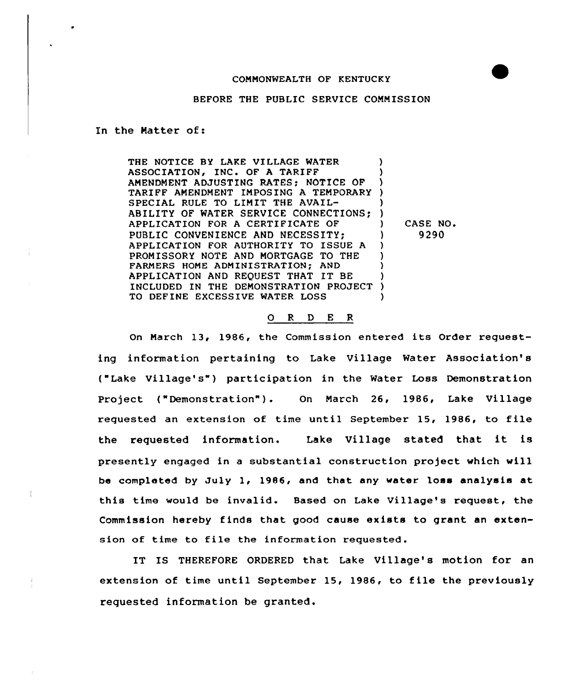## COMMONWEALTH OF KENTUCKY

BEFORE THE PUBLIC SERVICE COMMISSION

In the Natter of:

THE NOTICE BY LAKE VILLAGE WATER ASSOCIATION, INC. OF A TARIFF AMENDMENT ADJUSTING RATES: NOTICE OF TARIFF AMENDMENT IMPOSING A TEMPORARY ) SPECIAL RULE TO LIMIT THE AVAIL-ABILITY OF WATER SERVICE CONNECTIONS; )<br>APPLICATION FOR A CERTIFICATE OF APPLICATION FOR A CERTIFICATE OF ) PUBLIC CONVENIENCE AND NECESSITY: APPLICATION FOR AUTHORITY TO ISSUE <sup>A</sup> ) PROMISSORY NOTE AND MORTGAGE TO THE FARMERS HOME ADMINISTRATION; AND ) APPLICATION AND REQUEST THAT IT BE INCLUDED IN THE DEMONSTRATION PROJECT ) TO DEFINE EXCESSIVE WATER LOSS CASE NO.

## 0 R <sup>D</sup> E <sup>R</sup>

9290

On March 13, 1986, the Commission entered its Order requesting information pertaining to Lake Village Water Association's ("Lake Village's") participation in the water Loss Demonstration Project ("Demonstration"). On March 26, 1986, Lake Village requested an extension of time until September 15, 1986, to file the requested information. Lake Village stated that it is presently engaged in a substantial construction project which will be completed by July 1, 1986, and that any water loss analysis at this time would be invalid. Based on Lake Village's request, the Commission hereby finds that good cause exists to grant an extension of time to file the information requested.

IT IS THEREFORE ORDERED that Lake Village's motion for an extension of time until September 15, 1986, to file the previously requested information be granted.